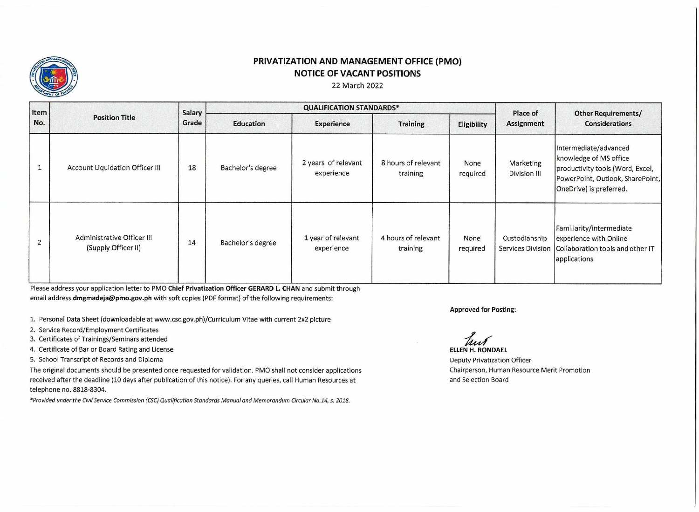

## **PRIVATIZATION AND MANAGEMENT OFFICE (PMO) NOTICE OF VACANT POSITIONS**

## 22 March 2022

| Item<br>No.    | <b>Position Title</b>                             | Salary<br>Grade | <b>QUALIFICATION STANDARDS*</b> |                                   |                                 |                  | Place of                  | <b>Other Requirements/</b>                                                                                                                         |
|----------------|---------------------------------------------------|-----------------|---------------------------------|-----------------------------------|---------------------------------|------------------|---------------------------|----------------------------------------------------------------------------------------------------------------------------------------------------|
|                |                                                   |                 | Education                       | <b>Experience</b>                 | <b>Training</b>                 | Eligibility      | <b>Assignment</b>         | <b>Considerations</b>                                                                                                                              |
|                | Account Liquidation Officer III                   | 18              | Bachelor's degree               | 2 years of relevant<br>experience | 8 hours of relevant<br>training | None<br>required | Marketing<br>Division III | Intermediate/advanced<br>knowledge of MS office<br>productivity tools (Word, Excel,<br>PowerPoint, Outlook, SharePoint,<br>OneDrive) is preferred. |
| $\overline{2}$ | Administrative Officer III<br>(Supply Officer II) | 14              | Bachelor's degree               | 1 year of relevant<br>experience  | 4 hours of relevant<br>training | None<br>required | Custodianship             | Familiarity/intermediate<br>experience with Online<br>Services Division (Collaboration tools and other IT<br>applications                          |

Please address your application letter to PMO **Chief Privatization Officer GERARD L. CHAN** and submit through email address **dmgmadeja@pmo.gov.ph** with soft copies (PDF format) of the following requirements:

1. Personal Data Sheet (downloadable at www.csc.gov.ph)/Curriculum Vitae with current 2x2 picture

2. Service Record/Employment Certificates

3. Certificates of Trainings/Seminars attended

4. Certificate of Bar or Board Rating and License

5. School Transcript of Records and Diploma

The original documents should be presented once requested for validation. PM0 shall not consider applications received after the deadline (10 days after publication of this notice). For any queries, call Human Resources at telephone no. 8818-8304.

*\*Provided under the Civil Service Commission (CSC)Qualification Standards Manual and Memorandum Circular No.14, s. 2018.* 

**Approved for Posting:** 

tust **ELLEN H. RONDAEL** 

Deputy Privatization Officer Chairperson, Human Resource Merit Promotion and Selection Board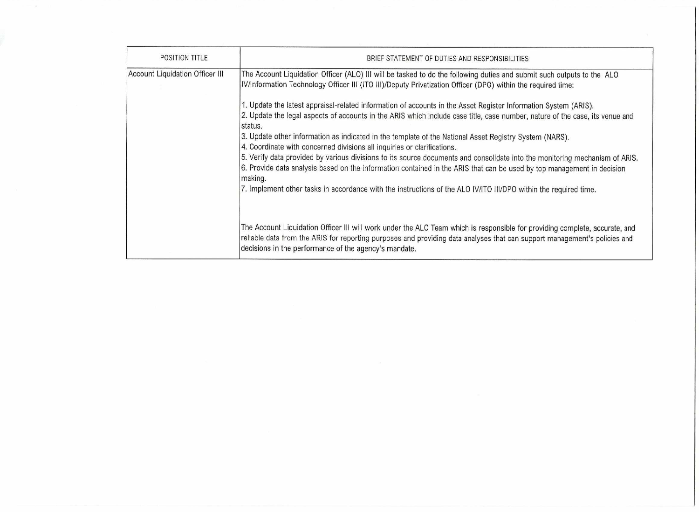| POSITION TITLE                  | BRIEF STATEMENT OF DUTIES AND RESPONSIBILITIES                                                                                                                                                                                                                                                                    |
|---------------------------------|-------------------------------------------------------------------------------------------------------------------------------------------------------------------------------------------------------------------------------------------------------------------------------------------------------------------|
| Account Liquidation Officer III | The Account Liquidation Officer (ALO) III will be tasked to do the following duties and submit such outputs to the ALO<br>IV/Information Technology Officer III (ITO III)/Deputy Privatization Officer (DPO) within the required time:                                                                            |
|                                 | 1. Update the latest appraisal-related information of accounts in the Asset Register Information System (ARIS).<br>2. Update the legal aspects of accounts in the ARIS which include case title, case number, nature of the case, its venue and<br>status.                                                        |
|                                 | 3. Update other information as indicated in the template of the National Asset Registry System (NARS).<br>4. Coordinate with concerned divisions all inquiries or clarifications.                                                                                                                                 |
|                                 | 5. Verify data provided by various divisions to its source documents and consolidate into the monitoring mechanism of ARIS.<br>6. Provide data analysis based on the information contained in the ARIS that can be used by top management in decision<br>making.                                                  |
|                                 | 7. Implement other tasks in accordance with the instructions of the ALO IV/ITO III/DPO within the required time.                                                                                                                                                                                                  |
|                                 |                                                                                                                                                                                                                                                                                                                   |
|                                 | The Account Liquidation Officer III will work under the ALO Team which is responsible for providing complete, accurate, and<br>reliable data from the ARIS for reporting purposes and providing data analyses that can support management's policies and<br>decisions in the performance of the agency's mandate. |